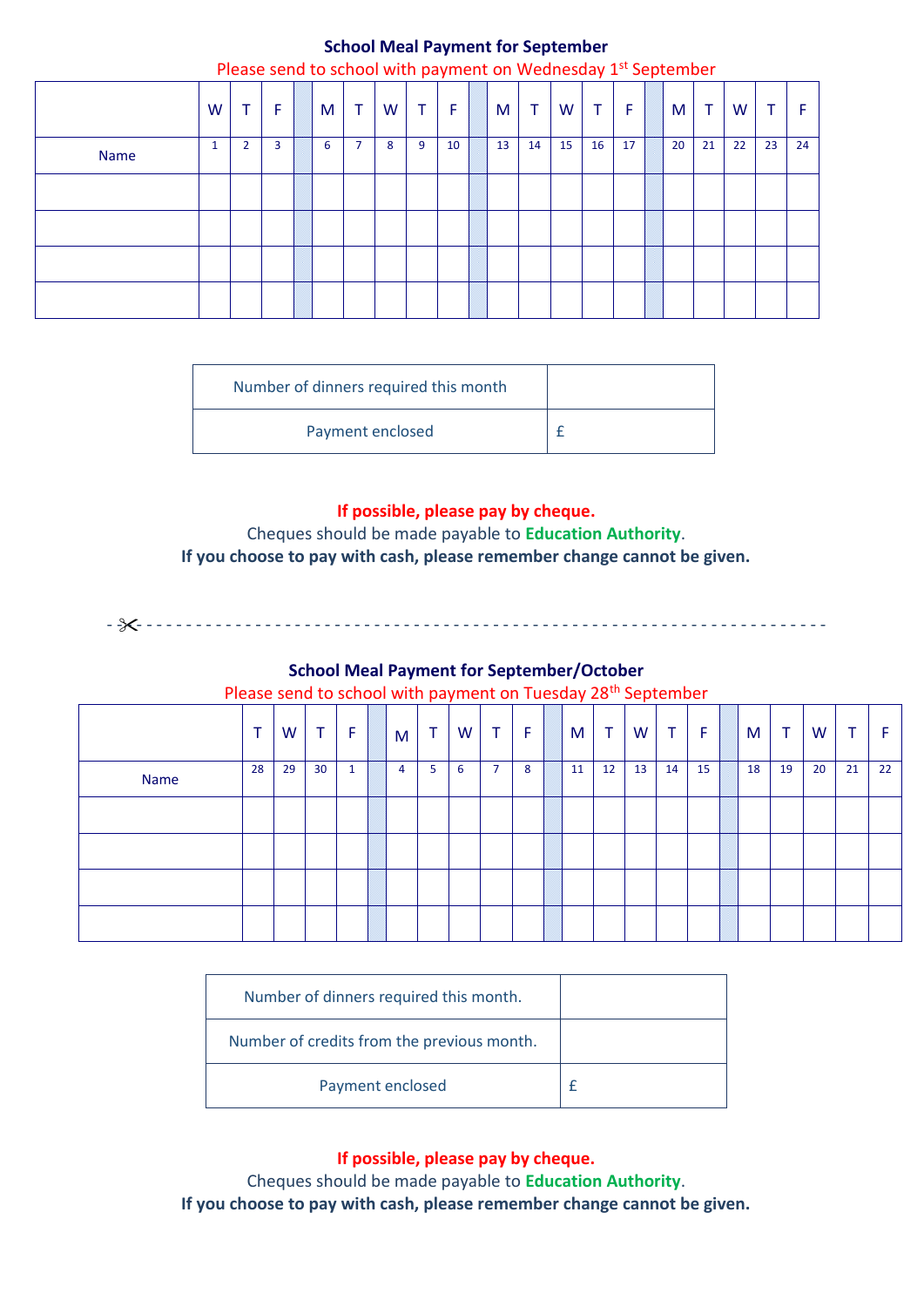# **School Meal Payment for September**

|             |   |                |   |   |                |   |    |    |    |    | Please send to school with payment on Wednesday $1st$ September |    |    |     |    |    |    |    |
|-------------|---|----------------|---|---|----------------|---|----|----|----|----|-----------------------------------------------------------------|----|----|-----|----|----|----|----|
|             | W | т.             | F | M | $\mathbf{T}$   | W | T. | F  | M  | т  | W                                                               | T. | Æ  | M I | T  | W  | ᠇  |    |
| <b>Name</b> | 1 | $\overline{2}$ | 3 | 6 | $\overline{7}$ | 8 | 9  | 10 | 13 | 14 | 15                                                              | 16 | 17 | 20  | 21 | 22 | 23 | 24 |
|             |   |                |   |   |                |   |    |    |    |    |                                                                 |    |    |     |    |    |    |    |
|             |   |                |   |   |                |   |    |    |    |    |                                                                 |    |    |     |    |    |    |    |
|             |   |                |   |   |                |   |    |    |    |    |                                                                 |    |    |     |    |    |    |    |
|             |   |                |   |   |                |   |    |    |    |    |                                                                 |    |    |     |    |    |    |    |

| Number of dinners required this month |  |
|---------------------------------------|--|
| Payment enclosed                      |  |

### **If possible, please pay by cheque.**

Cheques should be made payable to **Education Authority**. **If you choose to pay with cash, please remember change cannot be given.** 

- - - - - - - - - - - - - - - - - - - - - - - - - - - - - - - - - - - - - - - - - - - - - - - - - - - - - - - - - - - - - - - - - - - - - - - - -

#### **School Meal Payment for September/October**

Please send to school with payment on Tuesday 28<sup>th</sup> September

|      | $\mathbf{\tau}$ | W  | Τ               | F | M              | T | W | T.             | F | M  | T  | W  | Τ  | F  | M  | T  | W  | $\mathbf +$ |    |
|------|-----------------|----|-----------------|---|----------------|---|---|----------------|---|----|----|----|----|----|----|----|----|-------------|----|
| Name | 28              | 29 | 30 <sup>°</sup> | 1 | $\overline{4}$ | 5 | 6 | $\overline{7}$ | 8 | 11 | 12 | 13 | 14 | 15 | 18 | 19 | 20 | 21          | 22 |
|      |                 |    |                 |   |                |   |   |                |   |    |    |    |    |    |    |    |    |             |    |
|      |                 |    |                 |   |                |   |   |                |   |    |    |    |    |    |    |    |    |             |    |
|      |                 |    |                 |   |                |   |   |                |   |    |    |    |    |    |    |    |    |             |    |
|      |                 |    |                 |   |                |   |   |                |   |    |    |    |    |    |    |    |    |             |    |

| Number of dinners required this month.     |  |
|--------------------------------------------|--|
| Number of credits from the previous month. |  |
| Payment enclosed                           |  |

**If possible, please pay by cheque.**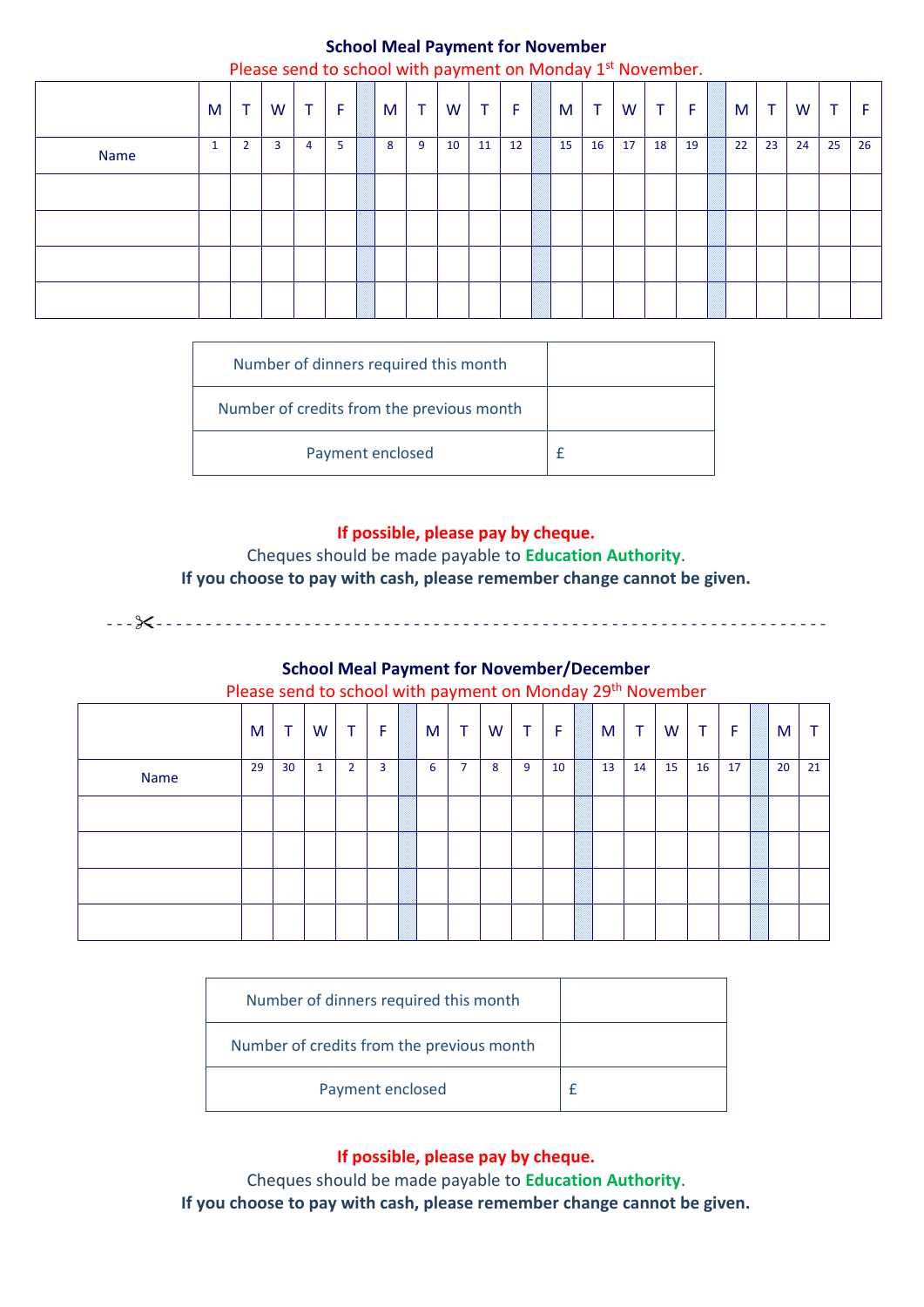# **School Meal Payment for November**

|             |   |                | Please send to school with payment on Monday 1st November. |   |    |   |                 |    |                |    |    |                |    |                |    |    |                |    |                |    |
|-------------|---|----------------|------------------------------------------------------------|---|----|---|-----------------|----|----------------|----|----|----------------|----|----------------|----|----|----------------|----|----------------|----|
|             | M | ᠇              | W                                                          |   | F  | M | $\mathbf{\tau}$ | W  | $\mathbf \tau$ | F  | M  | $\mathbf \tau$ | W  | $\mathbf \tau$ | F  | M  | $\mathbf \tau$ | W  | $\mathbf \tau$ | Æ  |
| <b>Name</b> |   | $\overline{2}$ | 3                                                          | 4 | 5. | 8 | 9               | 10 | 11             | 12 | 15 | 16             | 17 | 18             | 19 | 22 | 23             | 24 | 25             | 26 |
|             |   |                |                                                            |   |    |   |                 |    |                |    |    |                |    |                |    |    |                |    |                |    |
|             |   |                |                                                            |   |    |   |                 |    |                |    |    |                |    |                |    |    |                |    |                |    |
|             |   |                |                                                            |   |    |   |                 |    |                |    |    |                |    |                |    |    |                |    |                |    |
|             |   |                |                                                            |   |    |   |                 |    |                |    |    |                |    |                |    |    |                |    |                |    |

| Number of dinners required this month     |  |
|-------------------------------------------|--|
| Number of credits from the previous month |  |
| Payment enclosed                          |  |

#### **If possible, please pay by cheque.**

Cheques should be made payable to **Education Authority**. **If you choose to pay with cash, please remember change cannot be given.** 

- - - - - - - - - - - - - - - - - - - - - - - - - - - - - - - - - - - - - - - - - - - - - - - - - - - - - - - - - - - - - - - - - - - - - - - - -

**School Meal Payment for November/December**

Please send to school with payment on Monday 29<sup>th</sup> November

|      | M  | $\top$ | W            | T.             | F              | M | Τ              | W | Τ | F  | M  | $\mathbf \tau$ | W  | Τ  | F  | M  |    |
|------|----|--------|--------------|----------------|----------------|---|----------------|---|---|----|----|----------------|----|----|----|----|----|
| Name | 29 | 30     | $\mathbf{1}$ | $\overline{2}$ | $\overline{3}$ | 6 | $\overline{7}$ | 8 | 9 | 10 | 13 | 14             | 15 | 16 | 17 | 20 | 21 |
|      |    |        |              |                |                |   |                |   |   |    |    |                |    |    |    |    |    |
|      |    |        |              |                |                |   |                |   |   |    |    |                |    |    |    |    |    |
|      |    |        |              |                |                |   |                |   |   |    |    |                |    |    |    |    |    |
|      |    |        |              |                |                |   |                |   |   |    |    |                |    |    |    |    |    |

| Number of dinners required this month     |  |
|-------------------------------------------|--|
| Number of credits from the previous month |  |
| Payment enclosed                          |  |

**If possible, please pay by cheque.**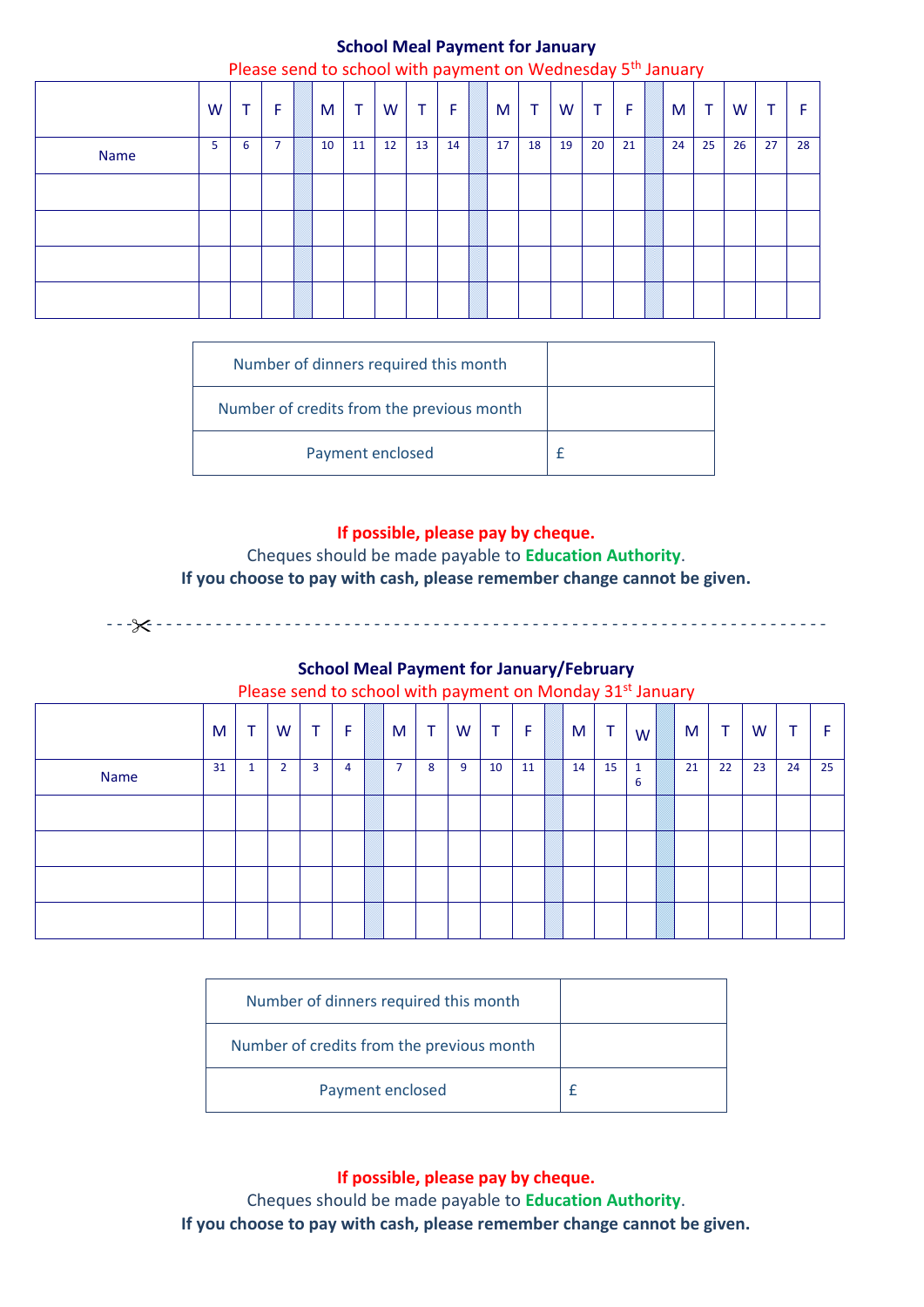# **School Meal Payment for January**

|             |    |    |   |    |    |                   |              |    |    |    | Please send to school with payment on Wednesday 5 <sup>th</sup> January |    |    |    |    |    |    |    |
|-------------|----|----|---|----|----|-------------------|--------------|----|----|----|-------------------------------------------------------------------------|----|----|----|----|----|----|----|
|             | W  | т. | F | M  | т  | W                 | $\mathbf{T}$ | F  | M  | т  | W                                                                       | т  | F  | M  | т  | W  | ᠇  |    |
| <b>Name</b> | 5. | 6  |   | 10 | 11 | $12 \overline{ }$ | 13           | 14 | 17 | 18 | 19                                                                      | 20 | 21 | 24 | 25 | 26 | 27 | 28 |
|             |    |    |   |    |    |                   |              |    |    |    |                                                                         |    |    |    |    |    |    |    |
|             |    |    |   |    |    |                   |              |    |    |    |                                                                         |    |    |    |    |    |    |    |
|             |    |    |   |    |    |                   |              |    |    |    |                                                                         |    |    |    |    |    |    |    |
|             |    |    |   |    |    |                   |              |    |    |    |                                                                         |    |    |    |    |    |    |    |

| Number of dinners required this month     |  |
|-------------------------------------------|--|
| Number of credits from the previous month |  |
| Payment enclosed                          |  |

#### **If possible, please pay by cheque.**

Cheques should be made payable to **Education Authority**. **If you choose to pay with cash, please remember change cannot be given.** 

#### **School Meal Payment for January/February**

- - - - - - - - - - - - - - - - - - - - - - - - - - - - - - - - - - - - - - - - - - - - - - - - - - - - - - - - - - - - - - - - - - - - - - - - -

#### Please send to school with payment on Monday 31st January

|      | M  | T                   | W              | T. | F | M                        | T | W | Τ  | F  | M  | т  | W l    | M  | $\mathbf \tau$ | W  | ÷  | F. |
|------|----|---------------------|----------------|----|---|--------------------------|---|---|----|----|----|----|--------|----|----------------|----|----|----|
| Name | 31 | $\overline{ }$<br>ш | $\overline{2}$ | 3  | 4 | $\overline{\phantom{0}}$ | 8 | 9 | 10 | 11 | 14 | 15 | 1<br>6 | 21 | 22             | 23 | 24 | 25 |
|      |    |                     |                |    |   |                          |   |   |    |    |    |    |        |    |                |    |    |    |
|      |    |                     |                |    |   |                          |   |   |    |    |    |    |        |    |                |    |    |    |
|      |    |                     |                |    |   |                          |   |   |    |    |    |    |        |    |                |    |    |    |
|      |    |                     |                |    |   |                          |   |   |    |    |    |    |        |    |                |    |    |    |

| Number of dinners required this month     |  |
|-------------------------------------------|--|
| Number of credits from the previous month |  |
| Payment enclosed                          |  |

**If possible, please pay by cheque.**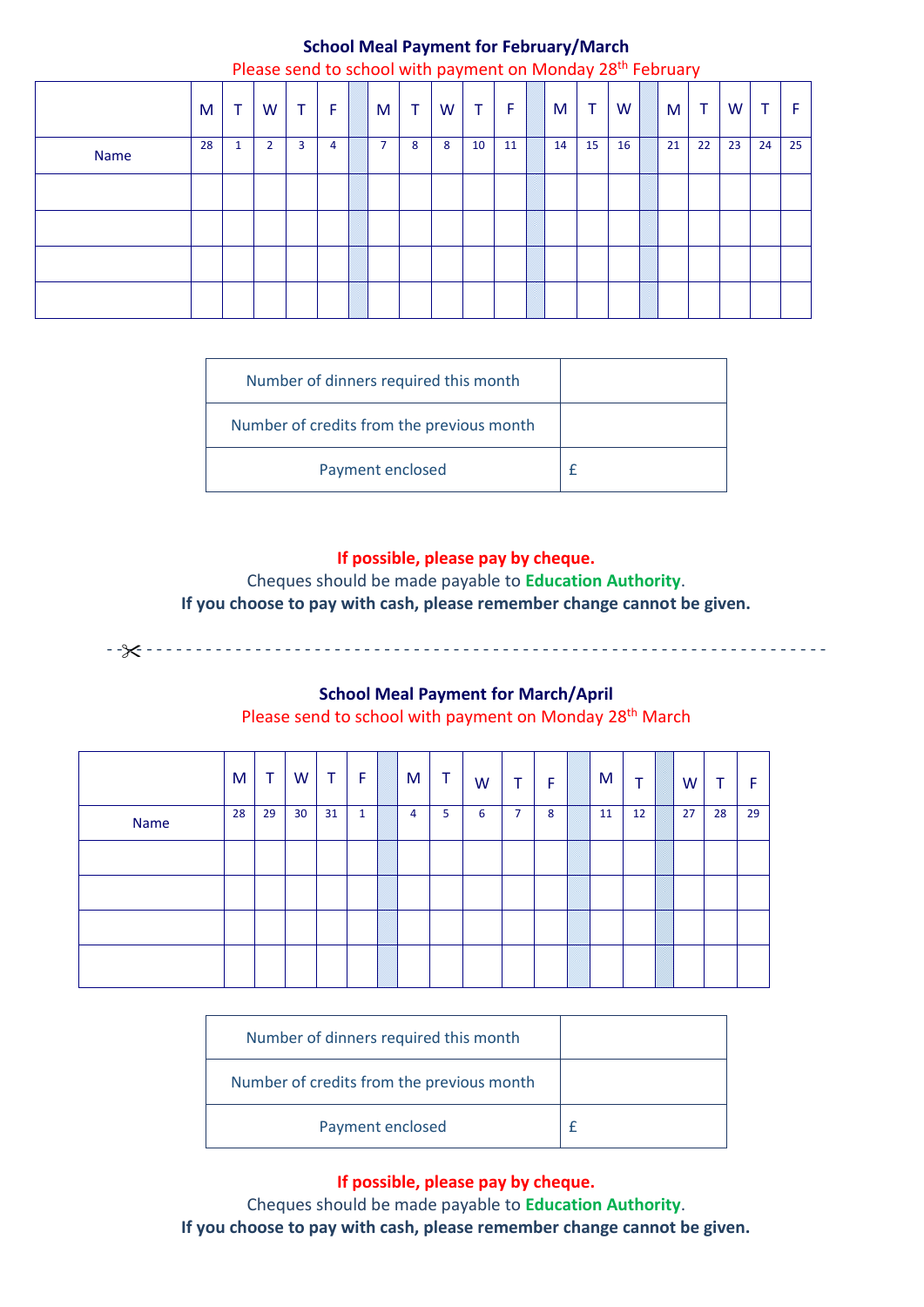#### **School Meal Payment for February/March** Please send to school with payment on Monday 28

|             |    |   |                |   |   |   |              |   |                |    | Please send to school with payment on Monday 28 <sup>th</sup> February |    |    |    |    |    |    |    |
|-------------|----|---|----------------|---|---|---|--------------|---|----------------|----|------------------------------------------------------------------------|----|----|----|----|----|----|----|
|             | M  |   | W              |   | F | M | $\mathsf{T}$ | W | $\mathbf \tau$ | F. | M                                                                      |    | W  | M  | T  | W  | т  |    |
| <b>Name</b> | 28 | 1 | $\overline{2}$ | 3 | 4 | 7 | 8            | 8 | 10             | 11 | 14                                                                     | 15 | 16 | 21 | 22 | 23 | 24 | 25 |
|             |    |   |                |   |   |   |              |   |                |    |                                                                        |    |    |    |    |    |    |    |
|             |    |   |                |   |   |   |              |   |                |    |                                                                        |    |    |    |    |    |    |    |
|             |    |   |                |   |   |   |              |   |                |    |                                                                        |    |    |    |    |    |    |    |
|             |    |   |                |   |   |   |              |   |                |    |                                                                        |    |    |    |    |    |    |    |

| Number of dinners required this month     |  |
|-------------------------------------------|--|
| Number of credits from the previous month |  |
| Payment enclosed                          |  |

# **If possible, please pay by cheque.**

Cheques should be made payable to **Education Authority**. **If you choose to pay with cash, please remember change cannot be given.** 

- - - - - - - - - - - - - - - - - - - - - - - - - - - - - - - - - - - - - - - - - - - - - - - - - - - - - - - - - - - - - - - - - - - - - - - - -

# **School Meal Payment for March/April**

Please send to school with payment on Monday 28<sup>th</sup> March

|      | M  | Τ  | W               | Τ  | -F           | M | Τ | W | Τ              | F | M  | т  | W  | ᠇  | F  |
|------|----|----|-----------------|----|--------------|---|---|---|----------------|---|----|----|----|----|----|
| Name | 28 | 29 | 30 <sup>°</sup> | 31 | $\mathbf{1}$ | 4 | 5 | 6 | $\overline{7}$ | 8 | 11 | 12 | 27 | 28 | 29 |
|      |    |    |                 |    |              |   |   |   |                |   |    |    |    |    |    |
|      |    |    |                 |    |              |   |   |   |                |   |    |    |    |    |    |
|      |    |    |                 |    |              |   |   |   |                |   |    |    |    |    |    |
|      |    |    |                 |    |              |   |   |   |                |   |    |    |    |    |    |

| Number of dinners required this month     |  |
|-------------------------------------------|--|
| Number of credits from the previous month |  |
| Payment enclosed                          |  |

**If possible, please pay by cheque.**